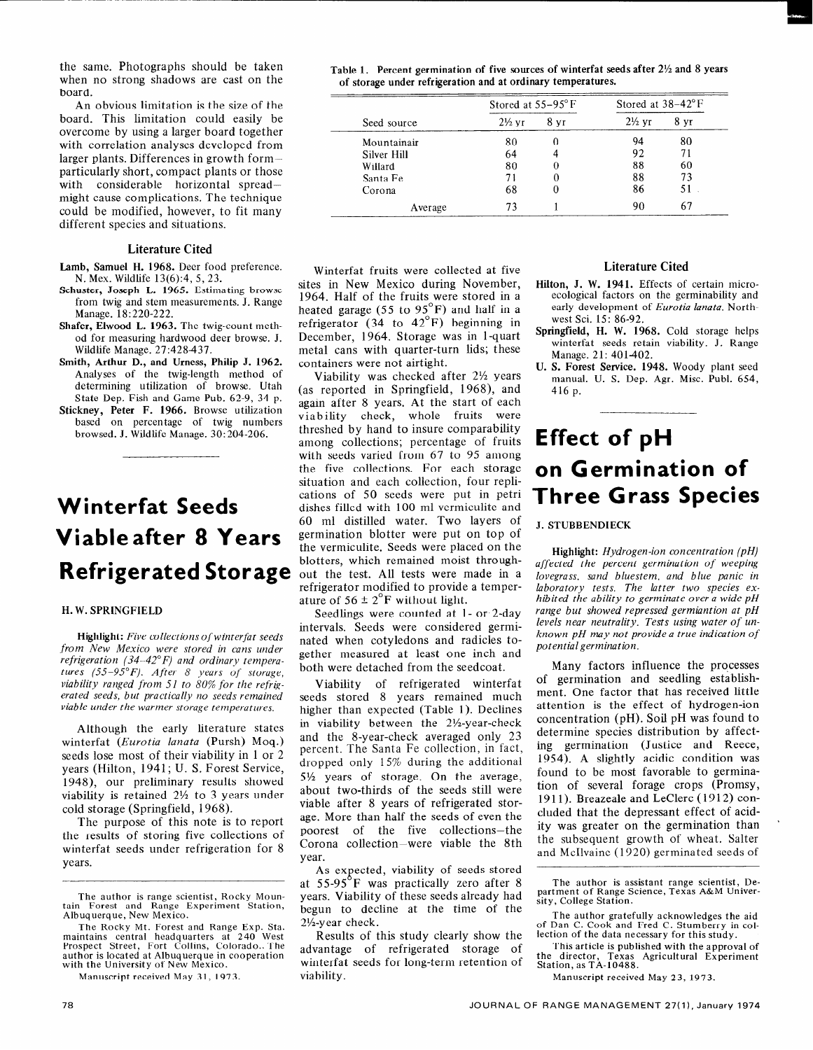# **Effect of pH on Germination of Three Grass Species**

J. **STUBBENDIECK** 

**Highlight:** *Hydrogen-ion concentration (pH) affected the percent germination of weeping lovegrass, sand bluestem, and blue panic in laboratory tests. The latter two species exhibited the ability to germinate over a wide pH range but showed repressed germiantion at pH levels near neutrality. Tests using water of unknown pH may not provide a true indication of potential germination.* 

Many factors influence the processes of germination and seedling establishment. One factor that has received little attention is the effect of hydrogen-ion concentration (pH). Soil pH was found to determine species distribution by affecting germination (Justice and Reece, 1954). A slightly acidic condition was found to be most favorable to germination of several forage crops (Promsy, 1911). Breazeale and LeClerc (1912) concluded that the depressant effect of acidity was greater on the germination than the subsequent growth of wheat. Salter and McIlvaine (1920) germinated seeds of

The author is assistant range scientist, De-partment of Range Science, Texas A&M University, College Station.

The author gratefully acknowledges the aid of Dan C. Cook and Fred C. Stumberry in collection of the data necessary for this study.

This article is published with the approval of the director, Texas Agricultural Experime<br>Station,as TA-10488.

Manuscript received May 23, 1973.